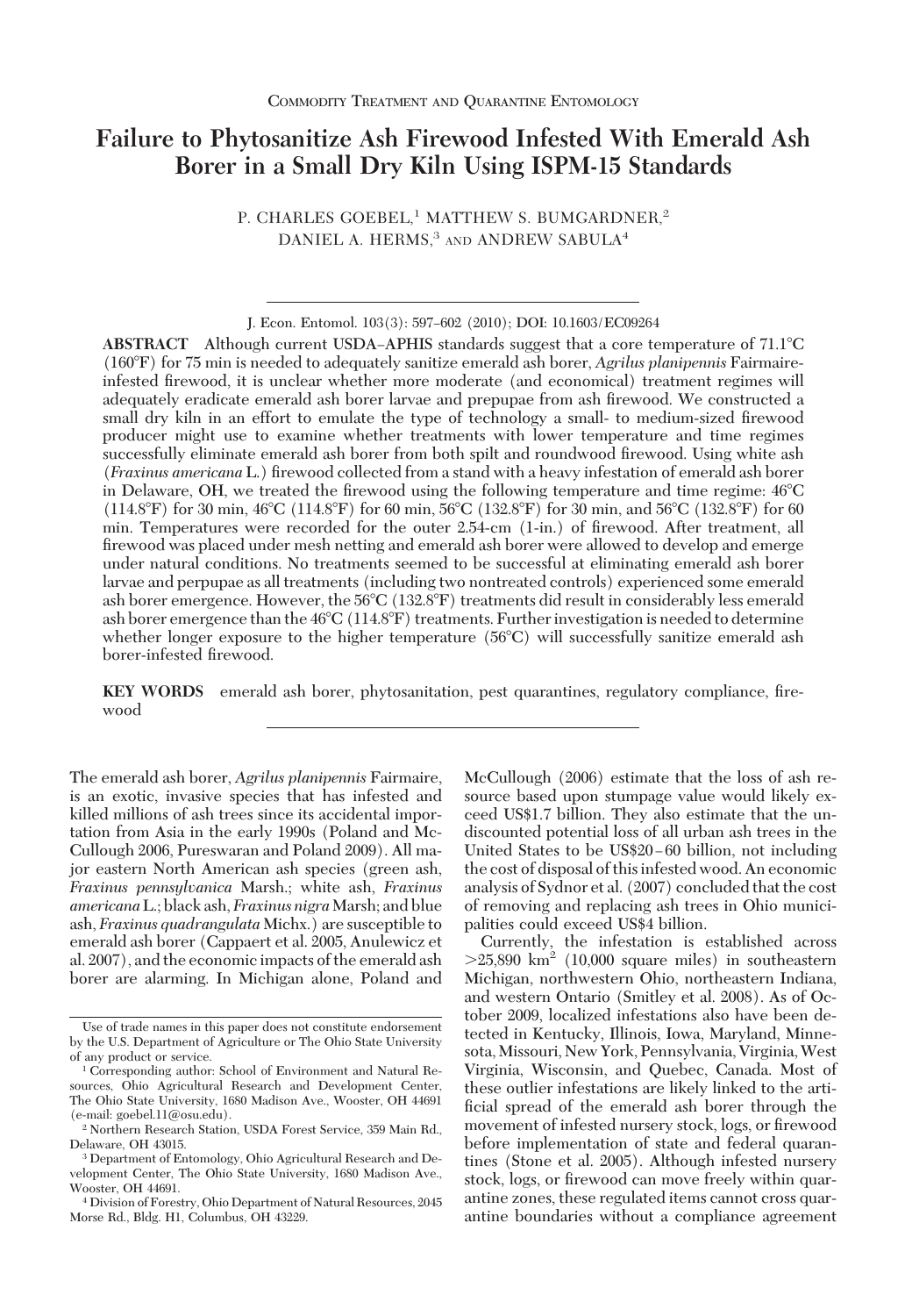# **Failure to Phytosanitize Ash Firewood Infested With Emerald Ash Borer in a Small Dry Kiln Using ISPM-15 Standards**

P. CHARLES GOEBEL,<sup>1</sup> MATTHEW S. BUMGARDNER,<sup>2</sup> DANIEL A. HERMS, $3$  and ANDREW SABULA<sup>4</sup>

**ABSTRACT** Although current USDA–APHIS standards suggest that a core temperature of 71.1<sup>o</sup>C (160F) for 75 min is needed to adequately sanitize emerald ash borer, *Agrilus planipennis* Fairmaireinfested firewood, it is unclear whether more moderate (and economical) treatment regimes will adequately eradicate emerald ash borer larvae and prepupae from ash firewood. We constructed a small dry kiln in an effort to emulate the type of technology a small- to medium-sized firewood producer might use to examine whether treatments with lower temperature and time regimes successfully eliminate emerald ash borer from both spilt and roundwood firewood. Using white ash (*Fraxinus americana* L.) Þrewood collected from a stand with a heavy infestation of emerald ash borer in Delaware, OH, we treated the firewood using the following temperature and time regime:  $46^{\circ}$ C (114.8°F) for 30 min, 46°C (114.8°F) for 60 min, 56°C (132.8°F) for 30 min, and 56°C (132.8°F) for 60 min. Temperatures were recorded for the outer 2.54-cm (1-in.) of firewood. After treatment, all firewood was placed under mesh netting and emerald ash borer were allowed to develop and emerge under natural conditions. No treatments seemed to be successful at eliminating emerald ash borer larvae and perpupae as all treatments (including two nontreated controls) experienced some emerald ash borer emergence. However, the 56C (132.8F) treatments did result in considerably less emerald ash borer emergence than the  $46^{\circ}C(114.8^{\circ}F)$  treatments. Further investigation is needed to determine whether longer exposure to the higher temperature (56°C) will successfully sanitize emerald ash borer-infested firewood.

**KEY WORDS** emerald ash borer, phytosanitation, pest quarantines, regulatory compliance, firewood

The emerald ash borer, *Agrilus planipennis* Fairmaire, is an exotic, invasive species that has infested and killed millions of ash trees since its accidental importation from Asia in the early 1990s (Poland and Mc-Cullough 2006, Pureswaran and Poland 2009). All major eastern North American ash species (green ash, *Fraxinus pennsylvanica* Marsh.; white ash, *Fraxinus americana*L.; black ash, *Fraxinus nigra*Marsh; and blue ash, *Fraxinus quadrangulata* Michx.) are susceptible to emerald ash borer (Cappaert et al. 2005, Anulewicz et al. 2007), and the economic impacts of the emerald ash borer are alarming. In Michigan alone, Poland and McCullough (2006) estimate that the loss of ash resource based upon stumpage value would likely exceed US\$1.7 billion. They also estimate that the undiscounted potential loss of all urban ash trees in the United States to be US\$20–60 billion, not including the cost of disposal of this infested wood. An economic analysis of Sydnor et al. (2007) concluded that the cost of removing and replacing ash trees in Ohio municipalities could exceed US\$4 billion.

Currently, the infestation is established across  $>25,890$  km<sup>2</sup> (10,000 square miles) in southeastern Michigan, northwestern Ohio, northeastern Indiana, and western Ontario (Smitley et al. 2008). As of October 2009, localized infestations also have been detected in Kentucky, Illinois, Iowa, Maryland, Minnesota,Missouri, New York, Pennsylvania, Virginia,West Virginia, Wisconsin, and Quebec, Canada. Most of these outlier infestations are likely linked to the artificial spread of the emerald ash borer through the movement of infested nursery stock, logs, or firewood before implementation of state and federal quarantines (Stone et al. 2005). Although infested nursery stock, logs, or firewood can move freely within quarantine zones, these regulated items cannot cross quarantine boundaries without a compliance agreement

J. Econ. Entomol. 103(3): 597-602 (2010); DOI: 10.1603/EC09264

Use of trade names in this paper does not constitute endorsement by the U.S. Department of Agriculture or The Ohio State University of any product or service.

<sup>&</sup>lt;sup>1</sup> Corresponding author: School of Environment and Natural Resources, Ohio Agricultural Research and Development Center, The Ohio State University, 1680 Madison Ave., Wooster, OH 44691 (e-mail: goebel.11@osu.edu).

<sup>2</sup> Northern Research Station, USDA Forest Service, 359 Main Rd., Delaware, OH 43015.

<sup>3</sup> Department of Entomology, Ohio Agricultural Research and Development Center, The Ohio State University, 1680 Madison Ave., Wooster, OH 44691.

<sup>4</sup> Division of Forestry, Ohio Department of Natural Resources, 2045 Morse Rd., Bldg. H1, Columbus, OH 43229.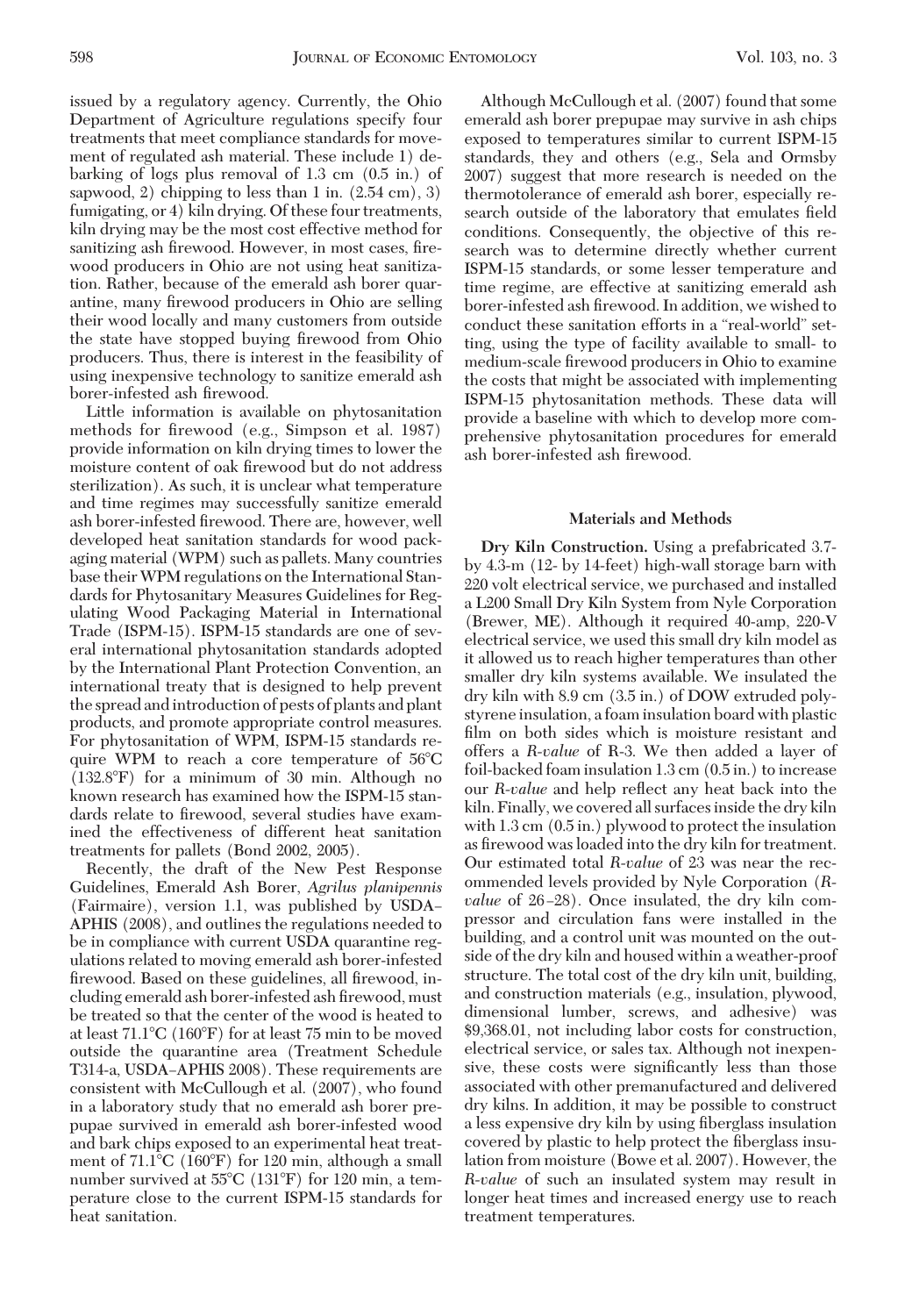issued by a regulatory agency. Currently, the Ohio Department of Agriculture regulations specify four treatments that meet compliance standards for movement of regulated ash material. These include 1) debarking of logs plus removal of 1.3 cm (0.5 in.) of sapwood, 2) chipping to less than 1 in.  $(2.54 \text{ cm})$ , 3) fumigating, or 4) kiln drying. Of these four treatments, kiln drying may be the most cost effective method for sanitizing ash firewood. However, in most cases, firewood producers in Ohio are not using heat sanitization. Rather, because of the emerald ash borer quarantine, many firewood producers in Ohio are selling their wood locally and many customers from outside the state have stopped buying firewood from Ohio producers. Thus, there is interest in the feasibility of using inexpensive technology to sanitize emerald ash borer-infested ash firewood.

Little information is available on phytosanitation methods for firewood (e.g., Simpson et al. 1987) provide information on kiln drying times to lower the moisture content of oak firewood but do not address sterilization). As such, it is unclear what temperature and time regimes may successfully sanitize emerald ash borer-infested firewood. There are, however, well developed heat sanitation standards for wood packaging material (WPM) such as pallets. Many countries base theirWPM regulations on the International Standards for Phytosanitary Measures Guidelines for Regulating Wood Packaging Material in International Trade (ISPM-15). ISPM-15 standards are one of several international phytosanitation standards adopted by the International Plant Protection Convention, an international treaty that is designed to help prevent the spread andintroduction of pests of plants and plant products, and promote appropriate control measures. For phytosanitation of WPM, ISPM-15 standards require WPM to reach a core temperature of  $56^{\circ}$ C (132.8F) for a minimum of 30 min. Although no known research has examined how the ISPM-15 standards relate to firewood, several studies have examined the effectiveness of different heat sanitation treatments for pallets (Bond 2002, 2005).

Recently, the draft of the New Pest Response Guidelines, Emerald Ash Borer, *Agrilus planipennis* (Fairmaire), version 1.1, was published by USDA– APHIS (2008), and outlines the regulations needed to be in compliance with current USDA quarantine regulations related to moving emerald ash borer-infested firewood. Based on these guidelines, all firewood, including emerald ash borer-infested ash firewood, must be treated so that the center of the wood is heated to at least  $71.1^{\circ}C$  (160 $^{\circ}F$ ) for at least 75 min to be moved outside the quarantine area (Treatment Schedule T314-a, USDA-APHIS 2008). These requirements are consistent with McCullough et al. (2007), who found in a laboratory study that no emerald ash borer prepupae survived in emerald ash borer-infested wood and bark chips exposed to an experimental heat treatment of  $71.1^{\circ}$ C (160 $^{\circ}$ F) for 120 min, although a small number survived at  $55^{\circ}$ C (131 $^{\circ}$ F) for 120 min, a temperature close to the current ISPM-15 standards for heat sanitation.

Although McCullough et al. (2007) found that some emerald ash borer prepupae may survive in ash chips exposed to temperatures similar to current ISPM-15 standards, they and others (e.g., Sela and Ormsby 2007) suggest that more research is needed on the thermotolerance of emerald ash borer, especially research outside of the laboratory that emulates field conditions. Consequently, the objective of this research was to determine directly whether current ISPM-15 standards, or some lesser temperature and time regime, are effective at sanitizing emerald ash borer-infested ash firewood. In addition, we wished to conduct these sanitation efforts in a "real-world" setting, using the type of facility available to small- to medium-scale firewood producers in Ohio to examine the costs that might be associated with implementing ISPM-15 phytosanitation methods. These data will provide a baseline with which to develop more comprehensive phytosanitation procedures for emerald ash borer-infested ash firewood.

## **Materials and Methods**

**Dry Kiln Construction.** Using a prefabricated 3.7 by 4.3-m (12- by 14-feet) high-wall storage barn with 220 volt electrical service, we purchased and installed a L200 Small Dry Kiln System from Nyle Corporation (Brewer, ME). Although it required 40-amp, 220-V electrical service, we used this small dry kiln model as it allowed us to reach higher temperatures than other smaller dry kiln systems available. We insulated the dry kiln with 8.9 cm (3.5 in.) of DOW extruded polystyrene insulation, a foam insulation board with plastic film on both sides which is moisture resistant and offers a *R-value* of R-3. We then added a layer of foil-backed foam insulation 1.3 cm (0.5 in.) to increase our *R-value* and help reßect any heat back into the kiln. Finally, we covered all surfaces inside the dry kiln with 1.3 cm (0.5 in.) plywood to protect the insulation as firewood was loaded into the dry kiln for treatment. Our estimated total *R-value* of 23 was near the recommended levels provided by Nyle Corporation (*Rvalue* of 26–28). Once insulated, the dry kiln compressor and circulation fans were installed in the building, and a control unit was mounted on the outside of the dry kiln and housed within a weather-proof structure. The total cost of the dry kiln unit, building, and construction materials (e.g., insulation, plywood, dimensional lumber, screws, and adhesive) was \$9,368.01, not including labor costs for construction, electrical service, or sales tax. Although not inexpensive, these costs were significantly less than those associated with other premanufactured and delivered dry kilns. In addition, it may be possible to construct a less expensive dry kiln by using fiberglass insulation covered by plastic to help protect the fiberglass insulation from moisture (Bowe et al. 2007). However, the *R-value* of such an insulated system may result in longer heat times and increased energy use to reach treatment temperatures.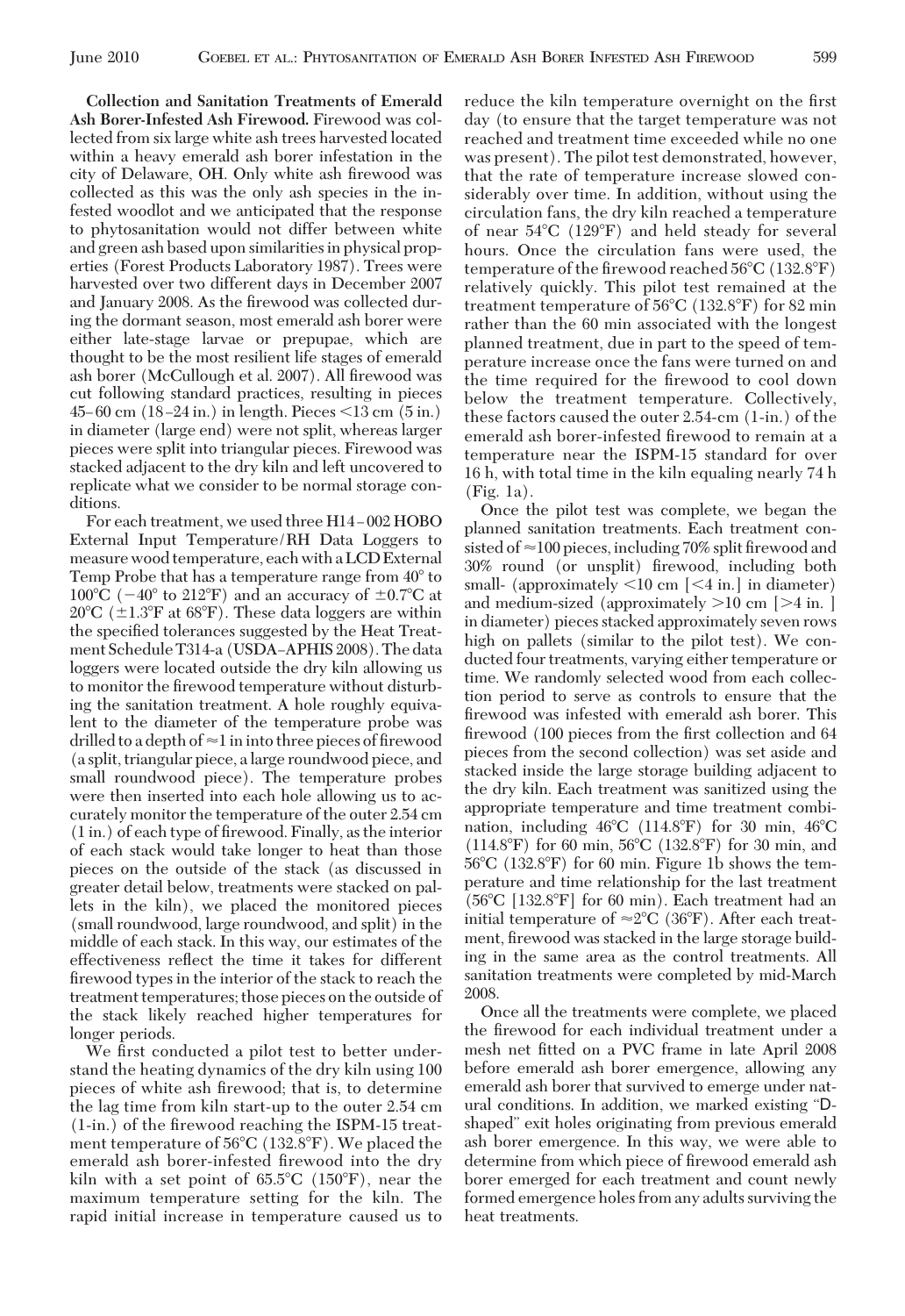**Collection and Sanitation Treatments of Emerald Ash Borer-Infested Ash Firewood.** Firewood was collected from six large white ash trees harvested located within a heavy emerald ash borer infestation in the city of Delaware, OH. Only white ash firewood was collected as this was the only ash species in the infested woodlot and we anticipated that the response to phytosanitation would not differ between white and green ash based upon similarities in physical properties (Forest Products Laboratory 1987). Trees were harvested over two different days in December 2007 and January 2008. As the firewood was collected during the dormant season, most emerald ash borer were either late-stage larvae or prepupae, which are thought to be the most resilient life stages of emerald ash borer (McCullough et al. 2007). All firewood was cut following standard practices, resulting in pieces  $45-60$  cm  $(18-24$  in.) in length. Pieces  $\leq 13$  cm  $(5 \text{ in.})$ in diameter (large end) were not split, whereas larger pieces were split into triangular pieces. Firewood was stacked adjacent to the dry kiln and left uncovered to replicate what we consider to be normal storage conditions.

For each treatment, we used three H14-002 HOBO External Input Temperature/RH Data Loggers to measure wood temperature, each with a LCD External Temp Probe that has a temperature range from  $40^{\circ}$  to 100°C ( $-40^{\circ}$  to 212°F) and an accuracy of  $\pm 0.7^{\circ}$ C at 20°C ( $\pm$ 1.3°F at 68°F). These data loggers are within the specified tolerances suggested by the Heat Treatment Schedule T314-a (USDA-APHIS 2008). The data loggers were located outside the dry kiln allowing us to monitor the firewood temperature without disturbing the sanitation treatment. A hole roughly equivalent to the diameter of the temperature probe was drilled to a depth of  $\approx$  1 in into three pieces of firewood (a split, triangular piece, a large roundwood piece, and small roundwood piece). The temperature probes were then inserted into each hole allowing us to accurately monitor the temperature of the outer 2.54 cm  $(1 \text{ in.})$  of each type of firewood. Finally, as the interior of each stack would take longer to heat than those pieces on the outside of the stack (as discussed in greater detail below, treatments were stacked on pallets in the kiln), we placed the monitored pieces (small roundwood, large roundwood, and split) in the middle of each stack. In this way, our estimates of the effectiveness reßect the time it takes for different firewood types in the interior of the stack to reach the treatment temperatures; those pieces on the outside of the stack likely reached higher temperatures for longer periods.

We first conducted a pilot test to better understand the heating dynamics of the dry kiln using 100 pieces of white ash firewood; that is, to determine the lag time from kiln start-up to the outer 2.54 cm  $(1\text{-in.})$  of the firewood reaching the ISPM-15 treatment temperature of  $56^{\circ}$ C (132.8 $^{\circ}$ F). We placed the emerald ash borer-infested firewood into the dry kiln with a set point of  $65.5^{\circ}$ C (150 $^{\circ}$ F), near the maximum temperature setting for the kiln. The rapid initial increase in temperature caused us to reduce the kiln temperature overnight on the first day (to ensure that the target temperature was not reached and treatment time exceeded while no one was present). The pilot test demonstrated, however, that the rate of temperature increase slowed considerably over time. In addition, without using the circulation fans, the dry kiln reached a temperature of near  $54^{\circ}$ C (129 $^{\circ}$ F) and held steady for several hours. Once the circulation fans were used, the temperature of the firewood reached  $56^{\circ}$ C (132.8 $^{\circ}$ F) relatively quickly. This pilot test remained at the treatment temperature of  $56^{\circ}$ C (132.8 $^{\circ}$ F) for 82 min rather than the 60 min associated with the longest planned treatment, due in part to the speed of temperature increase once the fans were turned on and the time required for the firewood to cool down below the treatment temperature. Collectively, these factors caused the outer 2.54-cm (1-in.) of the emerald ash borer-infested firewood to remain at a temperature near the ISPM-15 standard for over 16 h, with total time in the kiln equaling nearly 74 h (Fig. 1a).

Once the pilot test was complete, we began the planned sanitation treatments. Each treatment consisted of  $\approx$ 100 pieces, including 70% split firewood and 30% round (or unsplit) firewood, including both small- (approximately  $\leq 10$  cm  $\leq 4$  in.] in diameter) and medium-sized (approximately  $>10$  cm  $[-4$  in. ] in diameter) pieces stacked approximately seven rows high on pallets (similar to the pilot test). We conducted four treatments, varying either temperature or time. We randomly selected wood from each collection period to serve as controls to ensure that the firewood was infested with emerald ash borer. This firewood (100 pieces from the first collection and 64 pieces from the second collection) was set aside and stacked inside the large storage building adjacent to the dry kiln. Each treatment was sanitized using the appropriate temperature and time treatment combination, including  $46^{\circ}$ C (114.8°F) for 30 min,  $46^{\circ}$ C  $(114.8^{\circ}\text{F})$  for 60 min, 56 $^{\circ}$ C (132.8 $^{\circ}$ F) for 30 min, and  $56^{\circ}$ C (132.8 $^{\circ}$ F) for 60 min. Figure 1b shows the temperature and time relationship for the last treatment  $(56^{\circ}\text{C}$  [132.8 $^{\circ}\text{F}$ ] for 60 min). Each treatment had an initial temperature of  $\approx 2^{\circ}C$  (36°F). After each treatment, firewood was stacked in the large storage building in the same area as the control treatments. All sanitation treatments were completed by mid-March 2008.

Once all the treatments were complete, we placed the firewood for each individual treatment under a mesh net fitted on a PVC frame in late April 2008 before emerald ash borer emergence, allowing any emerald ash borer that survived to emerge under natural conditions. In addition, we marked existing "Dshaped" exit holes originating from previous emerald ash borer emergence. In this way, we were able to determine from which piece of firewood emerald ash borer emerged for each treatment and count newly formed emergence holes from any adults surviving the heat treatments.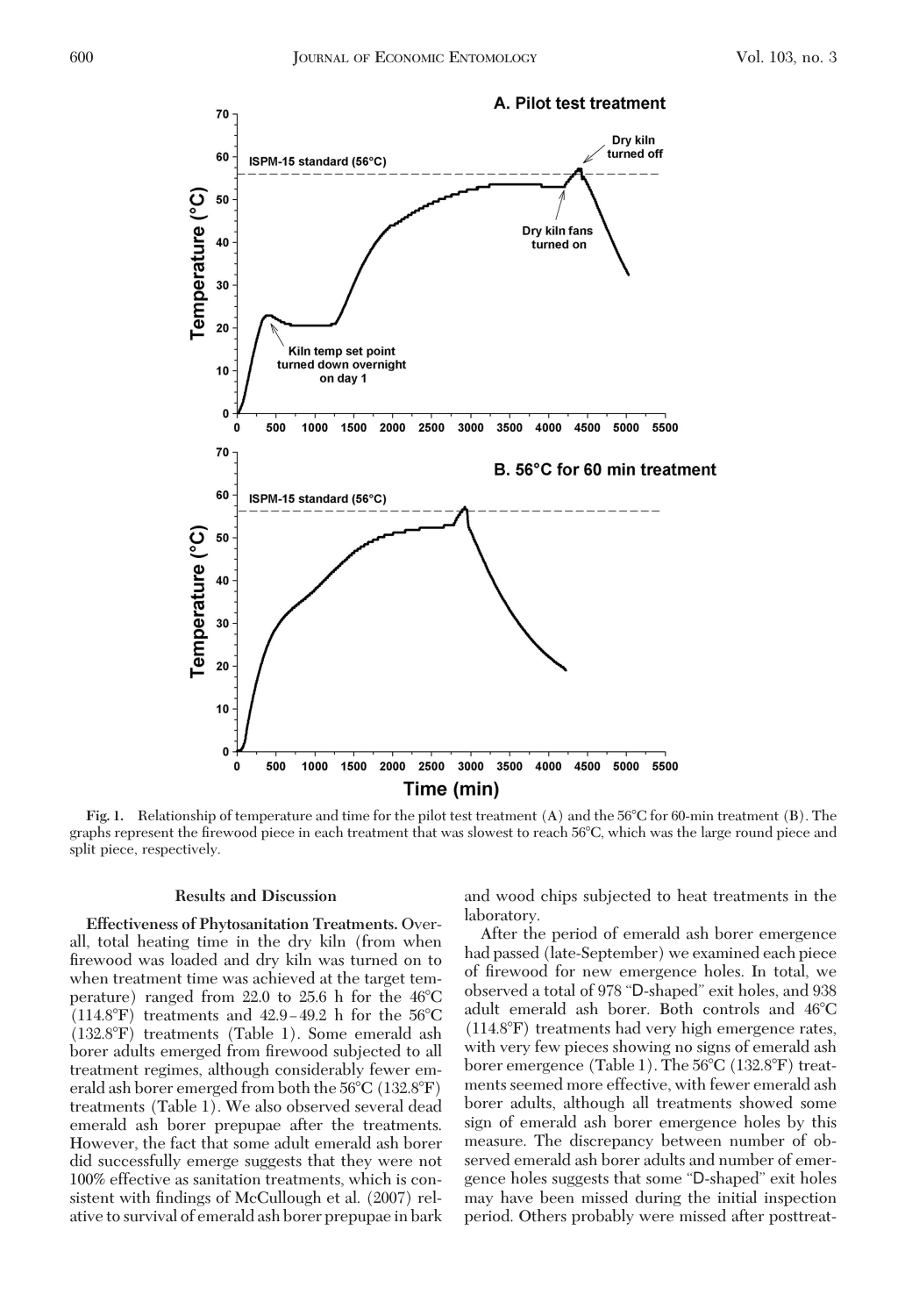

**Fig. 1.** Relationship of temperature and time for the pilot test treatment (A) and the 56C for 60-min treatment (B). The graphs represent the firewood piece in each treatment that was slowest to reach 56°C, which was the large round piece and split piece, respectively.

## **Results and Discussion**

**Effectiveness of Phytosanitation Treatments.** Overall, total heating time in the dry kiln (from when firewood was loaded and dry kiln was turned on to when treatment time was achieved at the target temperature) ranged from 22.0 to 25.6 h for the  $46^{\circ}$ C  $(114.8^{\circ}\text{F})$  treatments and  $42.9-49.2$  h for the 56 $^{\circ}\text{C}$ (132.8F) treatments (Table 1). Some emerald ash borer adults emerged from firewood subjected to all treatment regimes, although considerably fewer emerald ash borer emerged from both the  $56^{\circ}$ C (132.8 $^{\circ}$ F) treatments (Table 1). We also observed several dead emerald ash borer prepupae after the treatments. However, the fact that some adult emerald ash borer did successfully emerge suggests that they were not 100% effective as sanitation treatments, which is consistent with findings of McCullough et al. (2007) relative to survival of emerald ash borer prepupae in bark and wood chips subjected to heat treatments in the laboratory.

After the period of emerald ash borer emergence had passed (late-September) we examined each piece of firewood for new emergence holes. In total, we observed a total of 978 "D-shaped" exit holes, and 938 adult emerald ash borer. Both controls and 46°C (114.8F) treatments had very high emergence rates, with very few pieces showing no signs of emerald ash borer emergence (Table 1). The  $56^{\circ}$ C (132.8 $^{\circ}$ F) treatments seemed more effective, with fewer emerald ash borer adults, although all treatments showed some sign of emerald ash borer emergence holes by this measure. The discrepancy between number of observed emerald ash borer adults and number of emergence holes suggests that some "D-shaped" exit holes may have been missed during the initial inspection period. Others probably were missed after posttreat-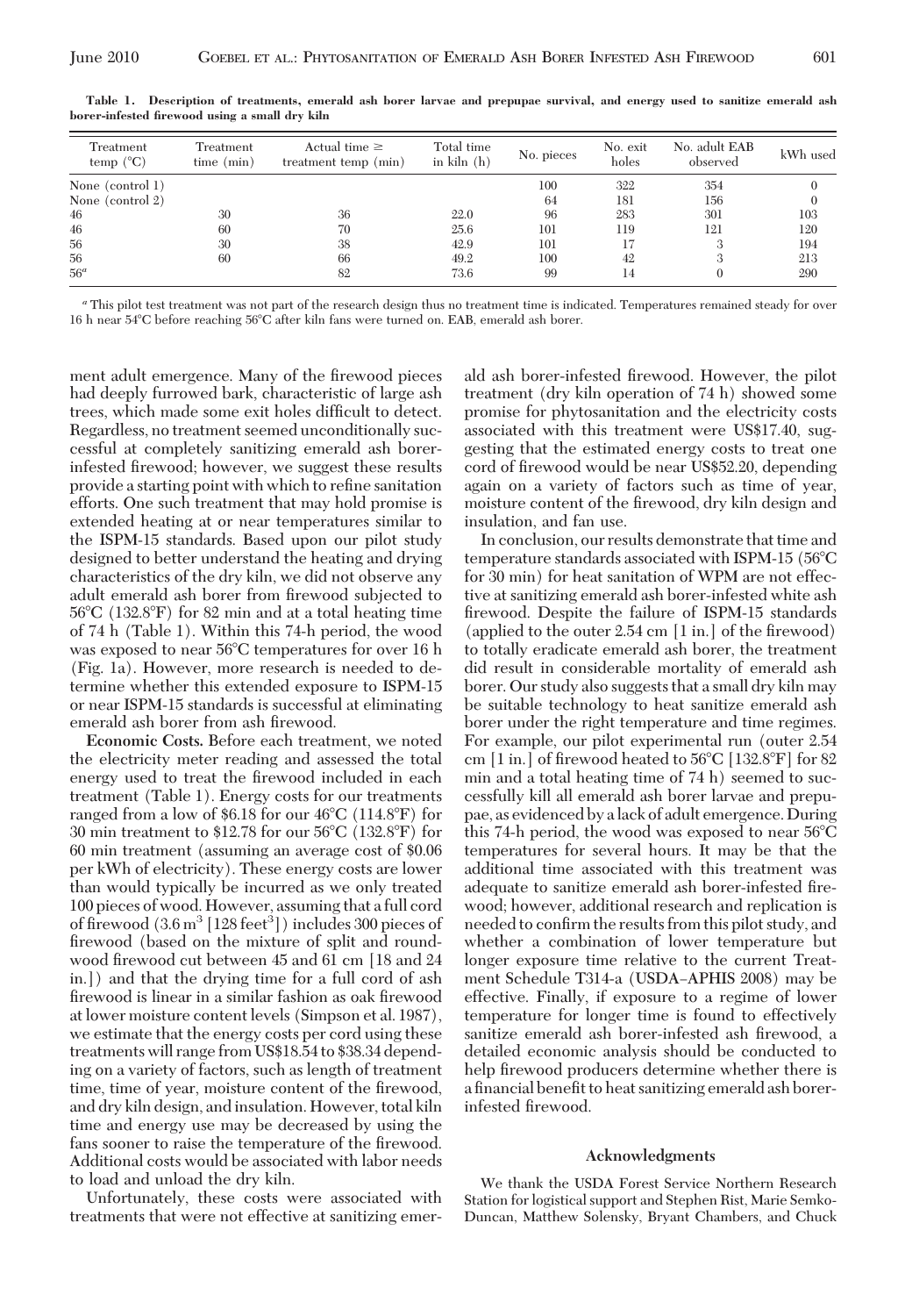| Treatment<br>temp $(^{\circ}C)$ | Treatment<br>time (min) | Actual time $\geq$<br>treatment temp (min) | Total time<br>in $\kappa$ iln $(h)$ | No. pieces | No. exit<br>holes | No. adult EAB<br>observed | kWh used |
|---------------------------------|-------------------------|--------------------------------------------|-------------------------------------|------------|-------------------|---------------------------|----------|
| None (control 1)                |                         |                                            |                                     | 100        | 322               | 354                       |          |
| None (control 2)                |                         |                                            |                                     | 64         | 181               | 156                       |          |
| 46                              | 30                      | 36                                         | 22.0                                | 96         | 283               | 301                       | 103      |
| 46                              | 60                      | 70                                         | 25.6                                | 101        | 119               | 121                       | 120      |
| 56                              | 30                      | 38                                         | 42.9                                | 101        | 17                |                           | 194      |
| 56                              | 60                      | 66                                         | 49.2                                | 100        | 42                |                           | 213      |
| 56 <sup>a</sup>                 |                         | 82                                         | 73.6                                | 99         | 14                |                           | 290      |

**Table 1. Description of treatments, emerald ash borer larvae and prepupae survival, and energy used to sanitize emerald ash borer-infested firewood using a small dry kiln**

*<sup>a</sup>* This pilot test treatment was not part of the research design thus no treatment time is indicated. Temperatures remained steady for over 16 h near 54C before reaching 56C after kiln fans were turned on. EAB, emerald ash borer.

ment adult emergence. Many of the firewood pieces had deeply furrowed bark, characteristic of large ash trees, which made some exit holes difficult to detect. Regardless, no treatment seemed unconditionally successful at completely sanitizing emerald ash borerinfested firewood; however, we suggest these results provide a starting point with which to refine sanitation efforts. One such treatment that may hold promise is extended heating at or near temperatures similar to the ISPM-15 standards. Based upon our pilot study designed to better understand the heating and drying characteristics of the dry kiln, we did not observe any adult emerald ash borer from firewood subjected to 56C (132.8F) for 82 min and at a total heating time of 74 h (Table 1). Within this 74-h period, the wood was exposed to near 56°C temperatures for over 16 h (Fig. 1a). However, more research is needed to determine whether this extended exposure to ISPM-15 or near ISPM-15 standards is successful at eliminating emerald ash borer from ash firewood.

**Economic Costs.** Before each treatment, we noted the electricity meter reading and assessed the total energy used to treat the firewood included in each treatment (Table 1). Energy costs for our treatments ranged from a low of \$6.18 for our  $46^{\circ}$ C (114.8 $^{\circ}$ F) for 30 min treatment to \$12.78 for our  $56^{\circ}$ C (132.8 $^{\circ}$ F) for 60 min treatment (assuming an average cost of \$0.06 per kWh of electricity). These energy costs are lower than would typically be incurred as we only treated 100 pieces of wood. However, assuming that a full cord of firewood  $(3.6 \,\mathrm{m}^3 \,[\,128\,\mathrm{feet}^3]$  includes 300 pieces of firewood (based on the mixture of split and roundwood firewood cut between 45 and 61 cm [18 and 24 in.]) and that the drying time for a full cord of ash firewood is linear in a similar fashion as oak firewood at lower moisture content levels (Simpson et al. 1987), we estimate that the energy costs per cord using these treatments will range from US\$18.54 to \$38.34 depending on a variety of factors, such as length of treatment time, time of year, moisture content of the firewood, and dry kiln design, and insulation. However, total kiln time and energy use may be decreased by using the fans sooner to raise the temperature of the firewood. Additional costs would be associated with labor needs to load and unload the dry kiln.

Unfortunately, these costs were associated with treatments that were not effective at sanitizing emerald ash borer-infested firewood. However, the pilot treatment (dry kiln operation of 74 h) showed some promise for phytosanitation and the electricity costs associated with this treatment were US\$17.40, suggesting that the estimated energy costs to treat one cord of firewood would be near US\$52.20, depending again on a variety of factors such as time of year, moisture content of the firewood, dry kiln design and insulation, and fan use.

In conclusion, our results demonstrate that time and temperature standards associated with ISPM-15 (56°C for 30 min) for heat sanitation of WPM are not effective at sanitizing emerald ash borer-infested white ash Þrewood. Despite the failure of ISPM-15 standards (applied to the outer  $2.54 \text{ cm}$  [1 in.] of the firewood) to totally eradicate emerald ash borer, the treatment did result in considerable mortality of emerald ash borer. Our study also suggests that a small dry kiln may be suitable technology to heat sanitize emerald ash borer under the right temperature and time regimes. For example, our pilot experimental run (outer 2.54 cm [1 in.] of firewood heated to  $56^{\circ}$ C [132.8 $^{\circ}$ F] for 82 min and a total heating time of 74 h) seemed to successfully kill all emerald ash borer larvae and prepupae, as evidenced by alack of adult emergence. During this 74-h period, the wood was exposed to near  $56^{\circ}$ C temperatures for several hours. It may be that the additional time associated with this treatment was adequate to sanitize emerald ash borer-infested firewood; however, additional research and replication is needed to confirm the results from this pilot study, and whether a combination of lower temperature but longer exposure time relative to the current Treatment Schedule T314-a (USDA-APHIS 2008) may be effective. Finally, if exposure to a regime of lower temperature for longer time is found to effectively sanitize emerald ash borer-infested ash firewood, a detailed economic analysis should be conducted to help firewood producers determine whether there is a financial benefit to heat sanitizing emerald ash borerinfested firewood.

#### **Acknowledgments**

We thank the USDA Forest Service Northern Research Station for logistical support and Stephen Rist, Marie Semko-Duncan, Matthew Solensky, Bryant Chambers, and Chuck